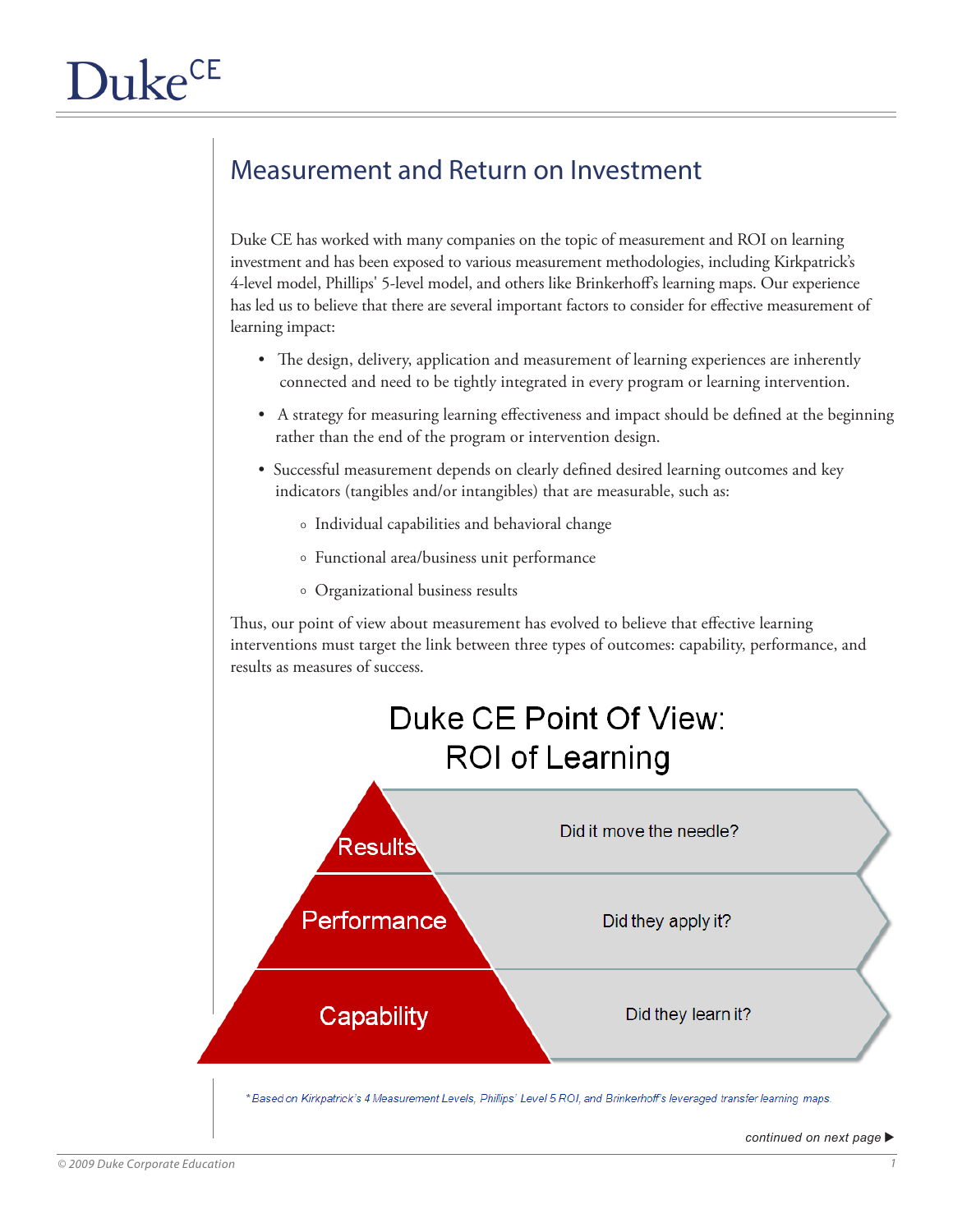## Measurement and Return on Investment

Duke CE has worked with many companies on the topic of measurement and ROI on learning investment and has been exposed to various measurement methodologies, including Kirkpatrick's 4-level model, Phillips' 5-level model, and others like Brinkerhoff's learning maps. Our experience has led us to believe that there are several important factors to consider for effective measurement of learning impact:

- The design, delivery, application and measurement of learning experiences are inherently connected and need to be tightly integrated in every program or learning intervention.
- A strategy for measuring learning effectiveness and impact should be defined at the beginning rather than the end of the program or intervention design.
- Successful measurement depends on clearly defined desired learning outcomes and key indicators (tangibles and/or intangibles) that are measurable, such as:
	- 0 Individual capabilities and behavioral change
	- 0 Functional area/business unit performance
	- 0 Organizational business results

Thus, our point of view about measurement has evolved to believe that effective learning interventions must target the link between three types of outcomes: capability, performance, and results as measures of success.



*continued on next page*